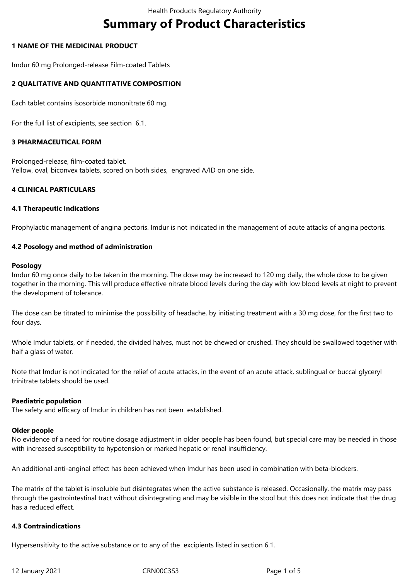# **Summary of Product Characteristics**

## **1 NAME OF THE MEDICINAL PRODUCT**

Imdur 60 mg Prolonged-release Film-coated Tablets

# **2 QUALITATIVE AND QUANTITATIVE COMPOSITION**

Each tablet contains isosorbide mononitrate 60 mg.

For the full list of excipients, see section 6.1.

## **3 PHARMACEUTICAL FORM**

Prolonged-release, film-coated tablet. Yellow, oval, biconvex tablets, scored on both sides, engraved A/ID on one side.

## **4 CLINICAL PARTICULARS**

## **4.1 Therapeutic Indications**

Prophylactic management of angina pectoris. Imdur is not indicated in the management of acute attacks of angina pectoris.

## **4.2 Posology and method of administration**

## **Posology**

Imdur 60 mg once daily to be taken in the morning. The dose may be increased to 120 mg daily, the whole dose to be given together in the morning. This will produce effective nitrate blood levels during the day with low blood levels at night to prevent the development of tolerance.

The dose can be titrated to minimise the possibility of headache, by initiating treatment with a 30 mg dose, for the first two to four days.

Whole Imdur tablets, or if needed, the divided halves, must not be chewed or crushed. They should be swallowed together with half a glass of water.

Note that Imdur is not indicated for the relief of acute attacks, in the event of an acute attack, sublingual or buccal glyceryl trinitrate tablets should be used.

## **Paediatric population**

The safety and efficacy of Imdur in children has not been established.

## **Older people**

No evidence of a need for routine dosage adjustment in older people has been found, but special care may be needed in those with increased susceptibility to hypotension or marked hepatic or renal insufficiency.

An additional anti-anginal effect has been achieved when Imdur has been used in combination with beta-blockers.

The matrix of the tablet is insoluble but disintegrates when the active substance is released. Occasionally, the matrix may pass through the gastrointestinal tract without disintegrating and may be visible in the stool but this does not indicate that the drug has a reduced effect.

## **4.3 Contraindications**

Hypersensitivity to the active substance or to any of the excipients listed in section 6.1.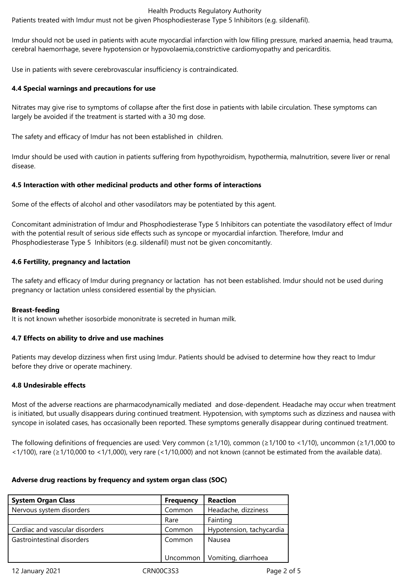#### Health Products Regulatory Authority

Patients treated with Imdur must not be given Phosphodiesterase Type 5 Inhibitors (e.g. sildenafil).

Imdur should not be used in patients with acute myocardial infarction with low filling pressure, marked anaemia, head trauma, cerebral haemorrhage, severe hypotension or hypovolaemia,constrictive cardiomyopathy and pericarditis.

Use in patients with severe cerebrovascular insufficiency is contraindicated.

## **4.4 Special warnings and precautions for use**

Nitrates may give rise to symptoms of collapse after the first dose in patients with labile circulation. These symptoms can largely be avoided if the treatment is started with a 30 mg dose.

The safety and efficacy of Imdur has not been established in children.

Imdur should be used with caution in patients suffering from hypothyroidism, hypothermia, malnutrition, severe liver or renal disease.

## **4.5 Interaction with other medicinal products and other forms of interactions**

Some of the effects of alcohol and other vasodilators may be potentiated by this agent.

Concomitant administration of Imdur and Phosphodiesterase Type 5 Inhibitors can potentiate the vasodilatory effect of Imdur with the potential result of serious side effects such as syncope or myocardial infarction. Therefore, Imdur and Phosphodiesterase Type 5 Inhibitors (e.g. sildenafil) must not be given concomitantly.

## **4.6 Fertility, pregnancy and lactation**

The safety and efficacy of Imdur during pregnancy or lactation has not been established. Imdur should not be used during pregnancy or lactation unless considered essential by the physician.

## **Breast-feeding**

It is not known whether isosorbide mononitrate is secreted in human milk.

## **4.7 Effects on ability to drive and use machines**

Patients may develop dizziness when first using Imdur. Patients should be advised to determine how they react to Imdur before they drive or operate machinery.

## **4.8 Undesirable effects**

Most of the adverse reactions are pharmacodynamically mediated and dose-dependent. Headache may occur when treatment is initiated, but usually disappears during continued treatment. Hypotension, with symptoms such as dizziness and nausea with syncope in isolated cases, has occasionally been reported. These symptoms generally disappear during continued treatment.

The following definitions of frequencies are used: Very common (≥1/10), common (≥1/100 to <1/10), uncommon (≥1/1,000 to <1/100), rare (≥1/10,000 to <1/1,000), very rare (<1/10,000) and not known (cannot be estimated from the available data).

## **Adverse drug reactions by frequency and system organ class (SOC)**

| <b>System Organ Class</b>      | <b>Frequency</b> | <b>Reaction</b>                |
|--------------------------------|------------------|--------------------------------|
| Nervous system disorders       | Common           | Headache, dizziness            |
|                                | Rare             | Fainting                       |
| Cardiac and vascular disorders | Common           | Hypotension, tachycardia       |
| Gastrointestinal disorders     | Common           | Nausea                         |
|                                |                  | Uncommon   Vomiting, diarrhoea |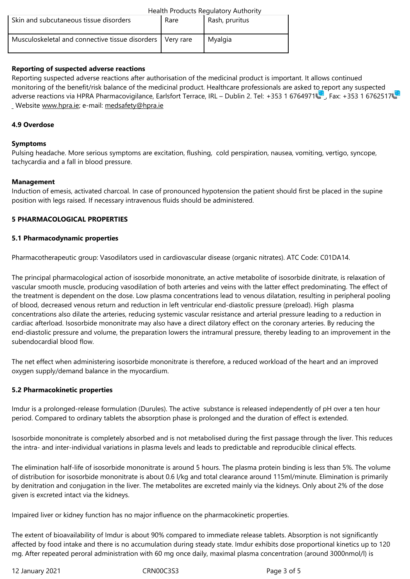| Musculoskeletal and connective tissue disorders   Very rare | Myalgia |
|-------------------------------------------------------------|---------|
|                                                             |         |

## **Reporting of suspected adverse reactions**

Reporting suspected adverse reactions after authorisation of the medicinal product is important. It allows continued monitoring of the benefit/risk balance of the medicinal product. Healthcare professionals are asked to report any suspected adverse reactions via HPRA Pharmacovigilance, Earlsfort Terrace, IRL – Dublin 2. Tel: +353 1 6764971 . Fax: +353 1 6762517 Website www.hpra.ie; e-mail: medsafety@hpra.ie

#### **4.9 Overdose**

#### **Sympto[ms](http://www.hpra.ie/)**

Pulsing headache. More serious symptoms are excitation, flushing, cold perspiration, nausea, vomiting, vertigo, syncope, tachycardia and a fall in blood pressure.

#### **Management**

Induction of emesis, activated charcoal. In case of pronounced hypotension the patient should first be placed in the supine position with legs raised. If necessary intravenous fluids should be administered.

#### **5 PHARMACOLOGICAL PROPERTIES**

#### **5.1 Pharmacodynamic properties**

Pharmacotherapeutic group: Vasodilators used in cardiovascular disease (organic nitrates). ATC Code: C01DA14.

The principal pharmacological action of isosorbide mononitrate, an active metabolite of isosorbide dinitrate, is relaxation of vascular smooth muscle, producing vasodilation of both arteries and veins with the latter effect predominating. The effect of the treatment is dependent on the dose. Low plasma concentrations lead to venous dilatation, resulting in peripheral pooling of blood, decreased venous return and reduction in left ventricular end-diastolic pressure (preload). High plasma concentrations also dilate the arteries, reducing systemic vascular resistance and arterial pressure leading to a reduction in cardiac afterload. Isosorbide mononitrate may also have a direct dilatory effect on the coronary arteries. By reducing the end-diastolic pressure and volume, the preparation lowers the intramural pressure, thereby leading to an improvement in the subendocardial blood flow.

The net effect when administering isosorbide mononitrate is therefore, a reduced workload of the heart and an improved oxygen supply/demand balance in the myocardium.

## **5.2 Pharmacokinetic properties**

Imdur is a prolonged-release formulation (Durules). The active substance is released independently of pH over a ten hour period. Compared to ordinary tablets the absorption phase is prolonged and the duration of effect is extended.

Isosorbide mononitrate is completely absorbed and is not metabolised during the first passage through the liver. This reduces the intra- and inter-individual variations in plasma levels and leads to predictable and reproducible clinical effects.

The elimination half-life of isosorbide mononitrate is around 5 hours. The plasma protein binding is less than 5%. The volume of distribution for isosorbide mononitrate is about 0.6 l/kg and total clearance around 115ml/minute. Elimination is primarily by denitration and conjugation in the liver. The metabolites are excreted mainly via the kidneys. Only about 2% of the dose given is excreted intact via the kidneys.

Impaired liver or kidney function has no major influence on the pharmacokinetic properties.

The extent of bioavailability of Imdur is about 90% compared to immediate release tablets. Absorption is not significantly affected by food intake and there is no accumulation during steady state. Imdur exhibits dose proportional kinetics up to 120 mg. After repeated peroral administration with 60 mg once daily, maximal plasma concentration (around 3000nmol/l) is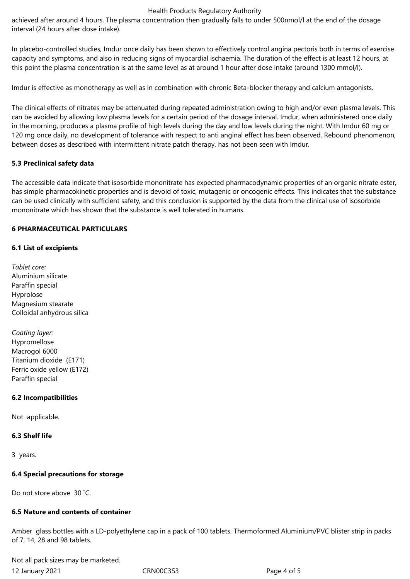#### Health Products Regulatory Authority

achieved after around 4 hours. The plasma concentration then gradually falls to under 500nmol/l at the end of the dosage interval (24 hours after dose intake).

In placebo-controlled studies, Imdur once daily has been shown to effectively control angina pectoris both in terms of exercise capacity and symptoms, and also in reducing signs of myocardial ischaemia. The duration of the effect is at least 12 hours, at this point the plasma concentration is at the same level as at around 1 hour after dose intake (around 1300 mmol/l).

Imdur is effective as monotherapy as well as in combination with chronic Beta-blocker therapy and calcium antagonists.

The clinical effects of nitrates may be attenuated during repeated administration owing to high and/or even plasma levels. This can be avoided by allowing low plasma levels for a certain period of the dosage interval. Imdur, when administered once daily in the morning, produces a plasma profile of high levels during the day and low levels during the night. With Imdur 60 mg or 120 mg once daily, no development of tolerance with respect to anti anginal effect has been observed. Rebound phenomenon, between doses as described with intermittent nitrate patch therapy, has not been seen with Imdur.

## **5.3 Preclinical safety data**

The accessible data indicate that isosorbide mononitrate has expected pharmacodynamic properties of an organic nitrate ester, has simple pharmacokinetic properties and is devoid of toxic, mutagenic or oncogenic effects. This indicates that the substance can be used clinically with sufficient safety, and this conclusion is supported by the data from the clinical use of isosorbide mononitrate which has shown that the substance is well tolerated in humans.

## **6 PHARMACEUTICAL PARTICULARS**

## **6.1 List of excipients**

- *Tablet core:* Aluminium silicate Paraffin special Hyprolose Magnesium stearate Colloidal anhydrous silica
- *Coating layer:* Hypromellose Macrogol 6000 Titanium dioxide (E171) Ferric oxide yellow (E172) Paraffin special

# **6.2 Incompatibilities**

Not applicable.

## **6.3 Shelf life**

3 years.

## **6.4 Special precautions for storage**

Do not store above 30 ˚C.

## **6.5 Nature and contents of container**

Amber glass bottles with a LD-polyethylene cap in a pack of 100 tablets. Thermoformed Aluminium/PVC blister strip in packs of 7, 14, 28 and 98 tablets.

12 January 2021 CRN00C3S3 Page 4 of 5 Not all pack sizes may be marketed.